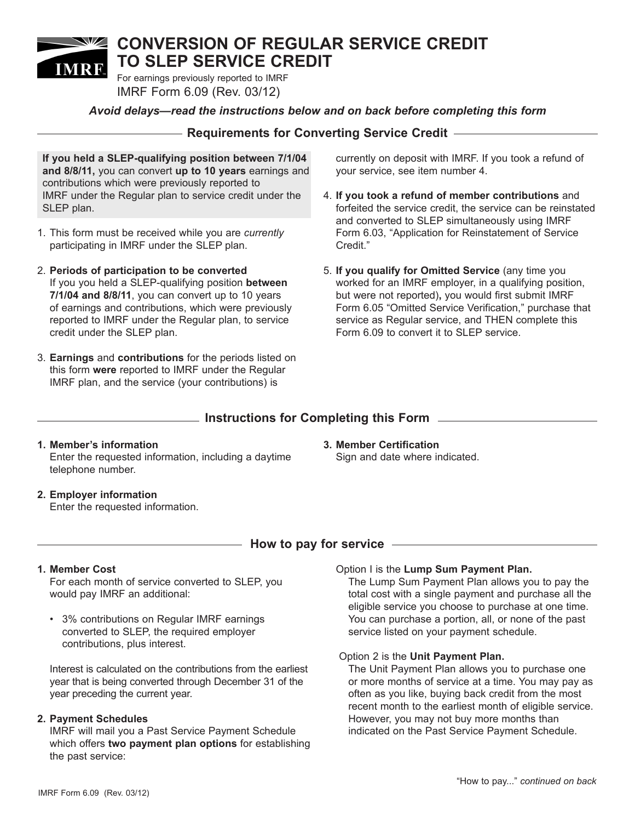# **CONVERSION OF REGULAR SERVICE CREDIT TO SLEP SERVICE CREDIT IMRE**

For earnings previously reported to IMRF IMRF Form 6.09 (Rev. 03/12)

## *Avoid delays—read the instructions below and on back before completing this form*

# **Requirements for Converting Service Credit**

**If you held a SLEP-qualifying position between 7/1/04 and 8/8/11,** you can convert **up to 10 years** earnings and contributions which were previously reported to IMRF under the Regular plan to service credit under the SLEP plan.

- 1. This form must be received while you are *currently*  participating in IMRF under the SLEP plan.
- 2. **Periods of participation to be converted** If you you held a SLEP-qualifying position **between 7/1/04 and 8/8/11**, you can convert up to 10 years of earnings and contributions, which were previously reported to IMRF under the Regular plan, to service credit under the SLEP plan.
- 3. **Earnings** and **contributions** for the periods listed on this form **were** reported to IMRF under the Regular IMRF plan, and the service (your contributions) is

currently on deposit with IMRF. If you took a refund of your service, see item number 4.

- 4. **If you took a refund of member contributions** and forfeited the service credit, the service can be reinstated and converted to SLEP simultaneously using IMRF Form 6.03, "Application for Reinstatement of Service Credit."
- 5. **If you qualify for Omitted Service** (any time you worked for an IMRF employer, in a qualifying position, but were not reported)**,** you would first submit IMRF Form 6.05 "Omitted Service Verification," purchase that service as Regular service, and THEN complete this Form 6.09 to convert it to SLEP service.

## **Instructions for Completing this Form**

- **1. Member's information** Enter the requested information, including a daytime telephone number.
- **3. Member Certification** Sign and date where indicated.

**2. Employer information**  Enter the requested information.

## $\hskip1cm$  How to pay for service  $\hskip1cm$

#### **1. Member Cost**

For each month of service converted to SLEP, you would pay IMRF an additional:

• 3% contributions on Regular IMRF earnings converted to SLEP, the required employer contributions, plus interest.

Interest is calculated on the contributions from the earliest year that is being converted through December 31 of the year preceding the current year.

## **2. Payment Schedules**

IMRF will mail you a Past Service Payment Schedule which offers **two payment plan options** for establishing the past service:

#### Option I is the **Lump Sum Payment Plan.**

The Lump Sum Payment Plan allows you to pay the total cost with a single payment and purchase all the eligible service you choose to purchase at one time. You can purchase a portion, all, or none of the past service listed on your payment schedule.

#### Option 2 is the **Unit Payment Plan.**

The Unit Payment Plan allows you to purchase one or more months of service at a time. You may pay as often as you like, buying back credit from the most recent month to the earliest month of eligible service. However, you may not buy more months than indicated on the Past Service Payment Schedule.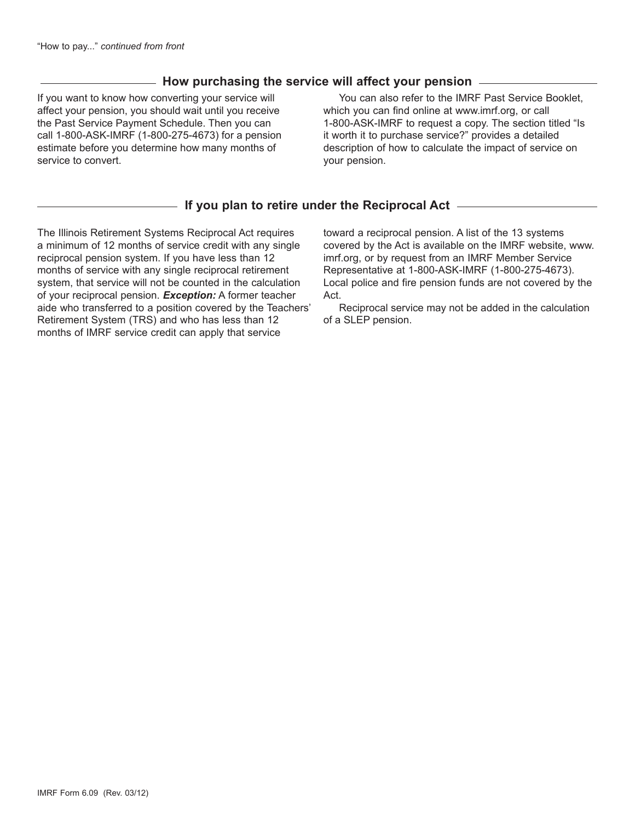# **How purchasing the service will affect your pension**

If you want to know how converting your service will affect your pension, you should wait until you receive the Past Service Payment Schedule. Then you can call 1-800-ASK-IMRF (1-800-275-4673) for a pension estimate before you determine how many months of service to convert.

You can also refer to the IMRF Past Service Booklet, which you can find online at www.imrf.org, or call 1-800-ASK-IMRF to request a copy. The section titled "Is it worth it to purchase service?" provides a detailed description of how to calculate the impact of service on your pension.

# **If you plan to retire under the Reciprocal Act**

The Illinois Retirement Systems Reciprocal Act requires a minimum of 12 months of service credit with any single reciprocal pension system. If you have less than 12 months of service with any single reciprocal retirement system, that service will not be counted in the calculation of your reciprocal pension. *Exception:* A former teacher aide who transferred to a position covered by the Teachers' Retirement System (TRS) and who has less than 12 months of IMRF service credit can apply that service

toward a reciprocal pension. A list of the 13 systems covered by the Act is available on the IMRF website, www. imrf.org, or by request from an IMRF Member Service Representative at 1-800-ASK-IMRF (1-800-275-4673). Local police and fire pension funds are not covered by the Act.

Reciprocal service may not be added in the calculation of a SLEP pension.